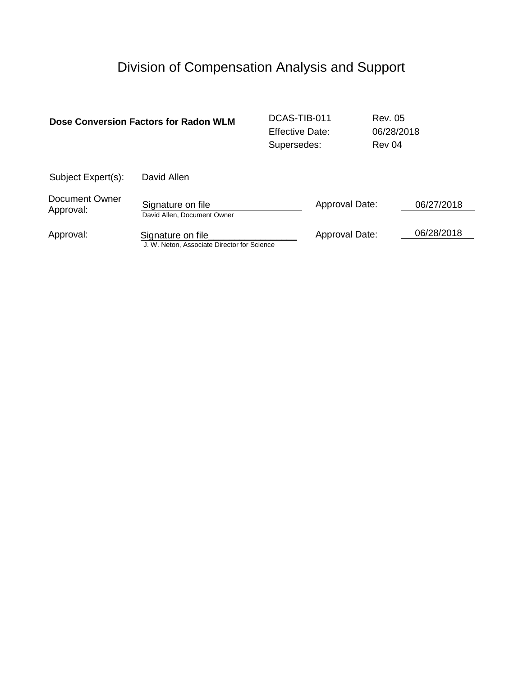# Division of Compensation Analysis and Support

|                                    | Dose Conversion Factors for Radon WLM                            | DCAS-TIB-011<br><b>Effective Date:</b><br>Supersedes: |                | <b>Rev. 05</b><br>06/28/2018<br>Rev 04 |            |
|------------------------------------|------------------------------------------------------------------|-------------------------------------------------------|----------------|----------------------------------------|------------|
| Subject Expert(s):                 | David Allen                                                      |                                                       |                |                                        |            |
| <b>Document Owner</b><br>Approval: | Signature on file<br>David Allen, Document Owner                 |                                                       | Approval Date: |                                        | 06/27/2018 |
| Approval:                          | Signature on file<br>J. W. Neton, Associate Director for Science |                                                       | Approval Date: |                                        | 06/28/2018 |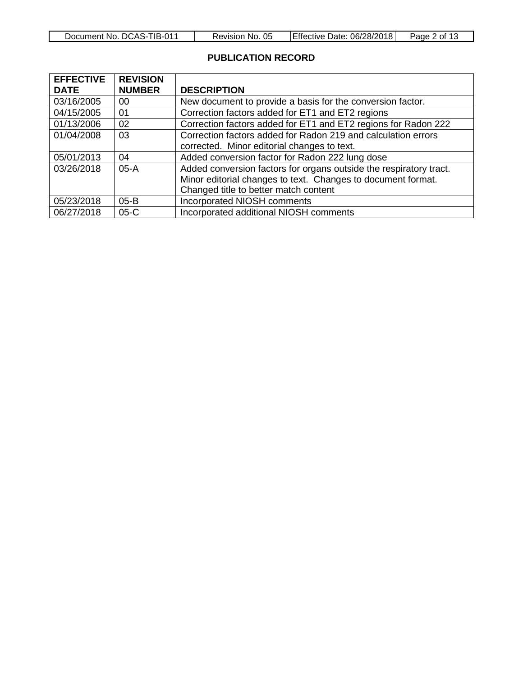| Λ1<br>ΊB-(<br>DCAS- <sup>+</sup><br>Document No. | 05<br>No.<br>Revision | 06/28/2018<br>Date:<br>⊺Effective | -<br>Page<br>Ωt |
|--------------------------------------------------|-----------------------|-----------------------------------|-----------------|

# **PUBLICATION RECORD**

| <b>EFFECTIVE</b> | <b>REVISION</b> |                                                                    |  |
|------------------|-----------------|--------------------------------------------------------------------|--|
| <b>DATE</b>      | <b>NUMBER</b>   | <b>DESCRIPTION</b>                                                 |  |
| 03/16/2005       | 00              | New document to provide a basis for the conversion factor.         |  |
| 04/15/2005       | 01              | Correction factors added for ET1 and ET2 regions                   |  |
| 01/13/2006       | 02              | Correction factors added for ET1 and ET2 regions for Radon 222     |  |
| 01/04/2008       | 03              | Correction factors added for Radon 219 and calculation errors      |  |
|                  |                 | corrected. Minor editorial changes to text.                        |  |
| 05/01/2013       | 04              | Added conversion factor for Radon 222 lung dose                    |  |
| 03/26/2018       | $05-A$          | Added conversion factors for organs outside the respiratory tract. |  |
|                  |                 | Minor editorial changes to text. Changes to document format.       |  |
|                  |                 | Changed title to better match content                              |  |
| 05/23/2018       | $05 - B$        | <b>Incorporated NIOSH comments</b>                                 |  |
| 06/27/2018       | $05-C$          | Incorporated additional NIOSH comments                             |  |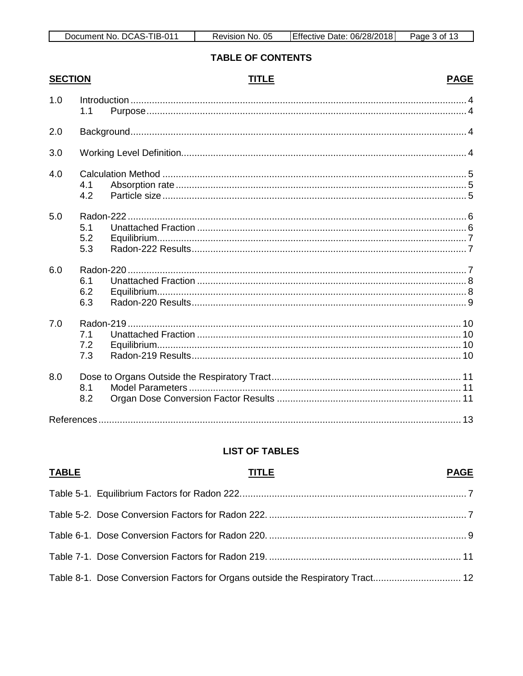| ΊB-<br>$\Omega$<br>Document No.<br>DCAS- | 05<br>No.<br>Revision | 06/28/20<br>2018<br>Date<br><b>Lettective</b> | -<br>Page<br>0Ť |
|------------------------------------------|-----------------------|-----------------------------------------------|-----------------|

# **TABLE OF CONTENTS**

| <b>SECTION</b> |                   | <b>TITLE</b> | <b>PAGE</b> |
|----------------|-------------------|--------------|-------------|
| 1.0            | 1.1               |              |             |
| 2.0            |                   |              |             |
| 3.0            |                   |              |             |
| 4.0            | 4.1<br>4.2        |              |             |
| 5.0            | 5.1<br>5.2<br>5.3 |              |             |
| 6.0            | 6.1<br>6.2<br>6.3 |              |             |
| 7.0            | 7.1<br>7.2<br>7.3 |              |             |
| 8.0            | 8.1<br>8.2        |              |             |
|                |                   |              |             |

# **LIST OF TABLES**

| <b>TABLE</b> | <b>TITLE</b>                                                                   | <b>PAGE</b> |
|--------------|--------------------------------------------------------------------------------|-------------|
|              |                                                                                |             |
|              |                                                                                |             |
|              |                                                                                |             |
|              |                                                                                |             |
|              | Table 8-1. Dose Conversion Factors for Organs outside the Respiratory Tract 12 |             |

# **PAGE**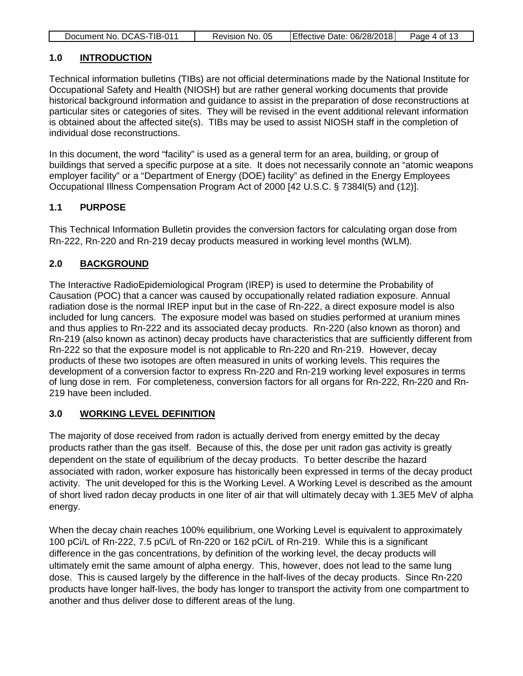|--|

#### <span id="page-3-0"></span>**1.0 INTRODUCTION**

 $\Box$ 

Technical information bulletins (TIBs) are not official determinations made by the National Institute for Occupational Safety and Health (NIOSH) but are rather general working documents that provide historical background information and guidance to assist in the preparation of dose reconstructions at particular sites or categories of sites. They will be revised in the event additional relevant information is obtained about the affected site(s). TIBs may be used to assist NIOSH staff in the completion of individual dose reconstructions.

In this document, the word "facility" is used as a general term for an area, building, or group of buildings that served a specific purpose at a site. It does not necessarily connote an "atomic weapons employer facility" or a "Department of Energy (DOE) facility" as defined in the Energy Employees Occupational Illness Compensation Program Act of 2000 [42 U.S.C. § 7384l(5) and (12)].

## <span id="page-3-1"></span>**1.1 PURPOSE**

This Technical Information Bulletin provides the conversion factors for calculating organ dose from Rn-222, Rn-220 and Rn-219 decay products measured in working level months (WLM).

## <span id="page-3-2"></span>**2.0 BACKGROUND**

The Interactive RadioEpidemiological Program (IREP) is used to determine the Probability of Causation (POC) that a cancer was caused by occupationally related radiation exposure. Annual radiation dose is the normal IREP input but in the case of Rn-222, a direct exposure model is also included for lung cancers. The exposure model was based on studies performed at uranium mines and thus applies to Rn-222 and its associated decay products. Rn-220 (also known as thoron) and Rn-219 (also known as actinon) decay products have characteristics that are sufficiently different from Rn-222 so that the exposure model is not applicable to Rn-220 and Rn-219. However, decay products of these two isotopes are often measured in units of working levels. This requires the development of a conversion factor to express Rn-220 and Rn-219 working level exposures in terms of lung dose in rem. For completeness, conversion factors for all organs for Rn-222, Rn-220 and Rn-219 have been included.

## <span id="page-3-3"></span>**3.0 WORKING LEVEL DEFINITION**

The majority of dose received from radon is actually derived from energy emitted by the decay products rather than the gas itself. Because of this, the dose per unit radon gas activity is greatly dependent on the state of equilibrium of the decay products. To better describe the hazard associated with radon, worker exposure has historically been expressed in terms of the decay product activity. The unit developed for this is the Working Level. A Working Level is described as the amount of short lived radon decay products in one liter of air that will ultimately decay with 1.3E5 MeV of alpha energy.

When the decay chain reaches 100% equilibrium, one Working Level is equivalent to approximately 100 pCi/L of Rn-222, 7.5 pCi/L of Rn-220 or 162 pCi/L of Rn-219. While this is a significant difference in the gas concentrations, by definition of the working level, the decay products will ultimately emit the same amount of alpha energy. This, however, does not lead to the same lung dose. This is caused largely by the difference in the half-lives of the decay products. Since Rn-220 products have longer half-lives, the body has longer to transport the activity from one compartment to another and thus deliver dose to different areas of the lung.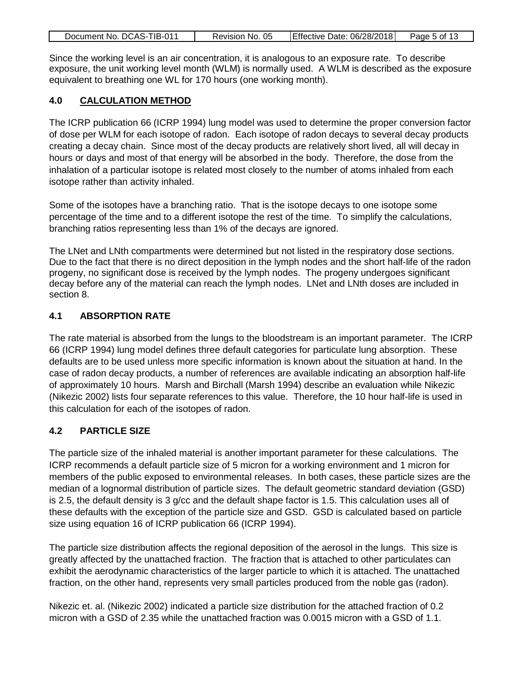|--|

Since the working level is an air concentration, it is analogous to an exposure rate. To describe exposure, the unit working level month (WLM) is normally used. A WLM is described as the exposure equivalent to breathing one WL for 170 hours (one working month).

#### <span id="page-4-0"></span>**4.0 CALCULATION METHOD**

The ICRP publication 66 (ICRP 1994) lung model was used to determine the proper conversion factor of dose per WLM for each isotope of radon. Each isotope of radon decays to several decay products creating a decay chain. Since most of the decay products are relatively short lived, all will decay in hours or days and most of that energy will be absorbed in the body. Therefore, the dose from the inhalation of a particular isotope is related most closely to the number of atoms inhaled from each isotope rather than activity inhaled.

Some of the isotopes have a branching ratio. That is the isotope decays to one isotope some percentage of the time and to a different isotope the rest of the time. To simplify the calculations, branching ratios representing less than 1% of the decays are ignored.

The LNet and LNth compartments were determined but not listed in the respiratory dose sections. Due to the fact that there is no direct deposition in the lymph nodes and the short half-life of the radon progeny, no significant dose is received by the lymph nodes. The progeny undergoes significant decay before any of the material can reach the lymph nodes. LNet and LNth doses are included in section 8.

#### <span id="page-4-1"></span>**4.1 ABSORPTION RATE**

The rate material is absorbed from the lungs to the bloodstream is an important parameter. The ICRP 66 (ICRP 1994) lung model defines three default categories for particulate lung absorption. These defaults are to be used unless more specific information is known about the situation at hand. In the case of radon decay products, a number of references are available indicating an absorption half-life of approximately 10 hours. Marsh and Birchall (Marsh 1994) describe an evaluation while Nikezic (Nikezic 2002) lists four separate references to this value. Therefore, the 10 hour half-life is used in this calculation for each of the isotopes of radon.

#### <span id="page-4-2"></span>**4.2 PARTICLE SIZE**

The particle size of the inhaled material is another important parameter for these calculations. The ICRP recommends a default particle size of 5 micron for a working environment and 1 micron for members of the public exposed to environmental releases. In both cases, these particle sizes are the median of a lognormal distribution of particle sizes. The default geometric standard deviation (GSD) is 2.5, the default density is 3 g/cc and the default shape factor is 1.5. This calculation uses all of these defaults with the exception of the particle size and GSD. GSD is calculated based on particle size using equation 16 of ICRP publication 66 (ICRP 1994).

The particle size distribution affects the regional deposition of the aerosol in the lungs. This size is greatly affected by the unattached fraction. The fraction that is attached to other particulates can exhibit the aerodynamic characteristics of the larger particle to which it is attached. The unattached fraction, on the other hand, represents very small particles produced from the noble gas (radon).

Nikezic et. al. (Nikezic 2002) indicated a particle size distribution for the attached fraction of 0.2 micron with a GSD of 2.35 while the unattached fraction was 0.0015 micron with a GSD of 1.1.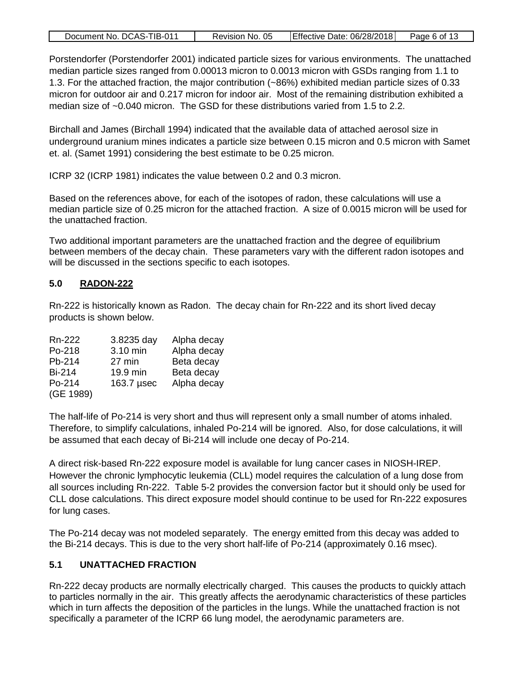|--|

Porstendorfer (Porstendorfer 2001) indicated particle sizes for various environments. The unattached median particle sizes ranged from 0.00013 micron to 0.0013 micron with GSDs ranging from 1.1 to 1.3. For the attached fraction, the major contribution (~86%) exhibited median particle sizes of 0.33 micron for outdoor air and 0.217 micron for indoor air. Most of the remaining distribution exhibited a median size of ~0.040 micron. The GSD for these distributions varied from 1.5 to 2.2.

Birchall and James (Birchall 1994) indicated that the available data of attached aerosol size in underground uranium mines indicates a particle size between 0.15 micron and 0.5 micron with Samet et. al. (Samet 1991) considering the best estimate to be 0.25 micron.

ICRP 32 (ICRP 1981) indicates the value between 0.2 and 0.3 micron.

Based on the references above, for each of the isotopes of radon, these calculations will use a median particle size of 0.25 micron for the attached fraction. A size of 0.0015 micron will be used for the unattached fraction.

Two additional important parameters are the unattached fraction and the degree of equilibrium between members of the decay chain. These parameters vary with the different radon isotopes and will be discussed in the sections specific to each isotopes.

#### <span id="page-5-0"></span>**5.0 RADON-222**

Rn-222 is historically known as Radon. The decay chain for Rn-222 and its short lived decay products is shown below.

| Rn-222        | 3.8235 day | Alpha decay |
|---------------|------------|-------------|
| Po-218        | 3.10 min   | Alpha decay |
| Pb-214        | 27 min     | Beta decay  |
| <b>Bi-214</b> | 19.9 min   | Beta decay  |
| Po-214        | 163.7 µsec | Alpha decay |
| (GE 1989)     |            |             |

The half-life of Po-214 is very short and thus will represent only a small number of atoms inhaled. Therefore, to simplify calculations, inhaled Po-214 will be ignored. Also, for dose calculations, it will be assumed that each decay of Bi-214 will include one decay of Po-214.

A direct risk-based Rn-222 exposure model is available for lung cancer cases in NIOSH-IREP. However the chronic lymphocytic leukemia (CLL) model requires the calculation of a lung dose from all sources including Rn-222. Table 5-2 provides the conversion factor but it should only be used for CLL dose calculations. This direct exposure model should continue to be used for Rn-222 exposures for lung cases.

The Po-214 decay was not modeled separately. The energy emitted from this decay was added to the Bi-214 decays. This is due to the very short half-life of Po-214 (approximately 0.16 msec).

#### <span id="page-5-1"></span>**5.1 UNATTACHED FRACTION**

Rn-222 decay products are normally electrically charged. This causes the products to quickly attach to particles normally in the air. This greatly affects the aerodynamic characteristics of these particles which in turn affects the deposition of the particles in the lungs. While the unattached fraction is not specifically a parameter of the ICRP 66 lung model, the aerodynamic parameters are.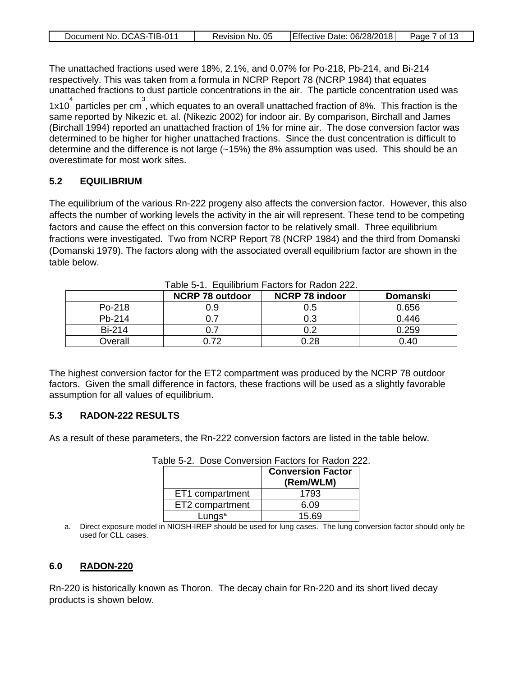|  | Document No. DCAS-TIB-011 | Revision No. 05 | Effective Date: 06/28/2018 | Page 7 of 13 |
|--|---------------------------|-----------------|----------------------------|--------------|
|--|---------------------------|-----------------|----------------------------|--------------|

The unattached fractions used were 18%, 2.1%, and 0.07% for Po-218, Pb-214, and Bi-214 respectively. This was taken from a formula in NCRP Report 78 (NCRP 1984) that equates unattached fractions to dust particle concentrations in the air. The particle concentration used was

1x10<sup>4</sup> particles per cm<sup>3</sup>, which equates to an overall unattached fraction of 8%. This fraction is the same reported by Nikezic et. al. (Nikezic 2002) for indoor air. By comparison, Birchall and James (Birchall 1994) reported an unattached fraction of 1% for mine air. The dose conversion factor was determined to be higher for higher unattached fractions. Since the dust concentration is difficult to determine and the difference is not large (~15%) the 8% assumption was used. This should be an overestimate for most work sites.

#### <span id="page-6-0"></span>**5.2 EQUILIBRIUM**

The equilibrium of the various Rn-222 progeny also affects the conversion factor. However, this also affects the number of working levels the activity in the air will represent. These tend to be competing factors and cause the effect on this conversion factor to be relatively small. Three equilibrium fractions were investigated. Two from NCRP Report 78 (NCRP 1984) and the third from Domanski (Domanski 1979). The factors along with the associated overall equilibrium factor are shown in the table below.

|               | <b>NCRP 78 outdoor</b> | <b>NCRP 78 indoor</b> | <b>Domanski</b> |
|---------------|------------------------|-----------------------|-----------------|
| Po-218        | 0.9                    | 0.5                   | 0.656           |
| Pb-214        |                        | 0.3                   | 0.446           |
| <b>Bi-214</b> |                        |                       | 0.259           |
| Overall       | ገ 72                   | 0.28                  | 0.40            |

Table 5-1. Equilibrium Factors for Radon 222.

The highest conversion factor for the ET2 compartment was produced by the NCRP 78 outdoor factors. Given the small difference in factors, these fractions will be used as a slightly favorable assumption for all values of equilibrium.

#### <span id="page-6-1"></span>**5.3 RADON-222 RESULTS**

As a result of these parameters, the Rn-222 conversion factors are listed in the table below.

|                    | <b>Conversion Factor</b><br>(Rem/WLM) |
|--------------------|---------------------------------------|
| ET1 compartment    | 1793                                  |
| ET2 compartment    | 6.09                                  |
| Lungs <sup>a</sup> | 15.69                                 |

Table 5-2. Dose Conversion Factors for Radon 222.

a. Direct exposure model in NIOSH-IREP should be used for lung cases. The lung conversion factor should only be used for CLL cases.

#### <span id="page-6-2"></span>**6.0 RADON-220**

Rn-220 is historically known as Thoron. The decay chain for Rn-220 and its short lived decay products is shown below.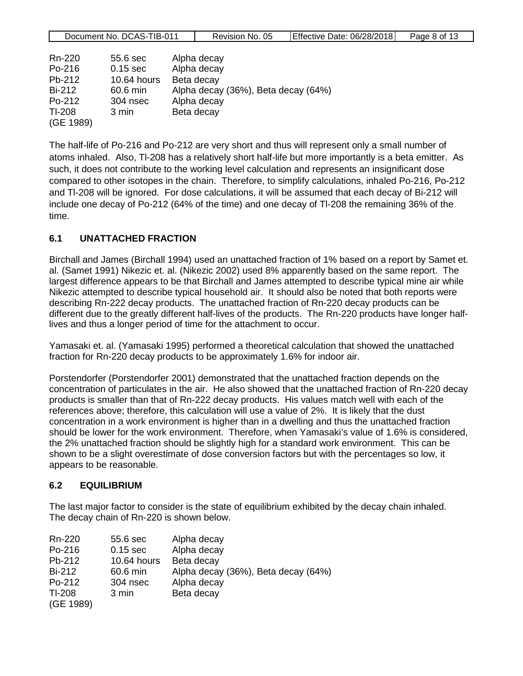| ⊺IB-01<br>DCAS-1<br>Document No. | 05<br>NO.<br>Revision | 06/28/2018<br>IEffective<br>Date: | aae<br>8 of |
|----------------------------------|-----------------------|-----------------------------------|-------------|
|                                  |                       |                                   |             |

| Rn-220    | 55.6 sec    | Alpha decay                         |
|-----------|-------------|-------------------------------------|
| Po-216    | $0.15$ sec  | Alpha decay                         |
| $Pb-212$  | 10.64 hours | Beta decay                          |
| Bi-212    | 60.6 min    | Alpha decay (36%), Beta decay (64%) |
| Po-212    | 304 nsec    | Alpha decay                         |
| TI-208    | 3 min       | Beta decay                          |
| (GE 1989) |             |                                     |

The half-life of Po-216 and Po-212 are very short and thus will represent only a small number of atoms inhaled. Also, Tl-208 has a relatively short half-life but more importantly is a beta emitter. As such, it does not contribute to the working level calculation and represents an insignificant dose compared to other isotopes in the chain. Therefore, to simplify calculations, inhaled Po-216, Po-212 and Tl-208 will be ignored. For dose calculations, it will be assumed that each decay of Bi-212 will include one decay of Po-212 (64% of the time) and one decay of Tl-208 the remaining 36% of the time.

#### <span id="page-7-0"></span>**6.1 UNATTACHED FRACTION**

Birchall and James (Birchall 1994) used an unattached fraction of 1% based on a report by Samet et. al. (Samet 1991) Nikezic et. al. (Nikezic 2002) used 8% apparently based on the same report. The largest difference appears to be that Birchall and James attempted to describe typical mine air while Nikezic attempted to describe typical household air. It should also be noted that both reports were describing Rn-222 decay products. The unattached fraction of Rn-220 decay products can be different due to the greatly different half-lives of the products. The Rn-220 products have longer halflives and thus a longer period of time for the attachment to occur.

Yamasaki et. al. (Yamasaki 1995) performed a theoretical calculation that showed the unattached fraction for Rn-220 decay products to be approximately 1.6% for indoor air.

Porstendorfer (Porstendorfer 2001) demonstrated that the unattached fraction depends on the concentration of particulates in the air. He also showed that the unattached fraction of Rn-220 decay products is smaller than that of Rn-222 decay products. His values match well with each of the references above; therefore, this calculation will use a value of 2%. It is likely that the dust concentration in a work environment is higher than in a dwelling and thus the unattached fraction should be lower for the work environment. Therefore, when Yamasaki's value of 1.6% is considered, the 2% unattached fraction should be slightly high for a standard work environment. This can be shown to be a slight overestimate of dose conversion factors but with the percentages so low, it appears to be reasonable.

#### <span id="page-7-1"></span>**6.2 EQUILIBRIUM**

The last major factor to consider is the state of equilibrium exhibited by the decay chain inhaled. The decay chain of Rn-220 is shown below.

| Rn-220        | 55.6 sec    | Alpha decay                         |
|---------------|-------------|-------------------------------------|
| Po-216        | $0.15$ sec  | Alpha decay                         |
| Pb-212        | 10.64 hours | Beta decay                          |
| <b>Bi-212</b> | 60.6 min    | Alpha decay (36%), Beta decay (64%) |
| Po-212        | 304 nsec    | Alpha decay                         |
| TI-208        | 3 min       | Beta decay                          |
| (GE 1989)     |             |                                     |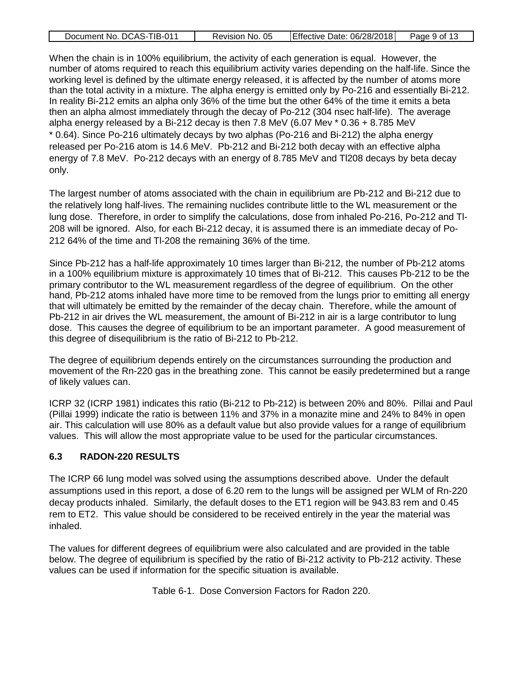|--|

When the chain is in 100% equilibrium, the activity of each generation is equal. However, the number of atoms required to reach this equilibrium activity varies depending on the half-life. Since the working level is defined by the ultimate energy released, it is affected by the number of atoms more than the total activity in a mixture. The alpha energy is emitted only by Po-216 and essentially Bi-212. In reality Bi-212 emits an alpha only 36% of the time but the other 64% of the time it emits a beta then an alpha almost immediately through the decay of Po-212 (304 nsec half-life). The average alpha energy released by a Bi-212 decay is then  $7.8 \text{ MeV}$  (6.07 Mev  $*$  0.36 + 8.785 MeV \* 0.64). Since Po-216 ultimately decays by two alphas (Po-216 and Bi-212) the alpha energy released per Po-216 atom is 14.6 MeV. Pb-212 and Bi-212 both decay with an effective alpha energy of 7.8 MeV. Po-212 decays with an energy of 8.785 MeV and Tl208 decays by beta decay only.

The largest number of atoms associated with the chain in equilibrium are Pb-212 and Bi-212 due to the relatively long half-lives. The remaining nuclides contribute little to the WL measurement or the lung dose. Therefore, in order to simplify the calculations, dose from inhaled Po-216, Po-212 and Tl-208 will be ignored. Also, for each Bi-212 decay, it is assumed there is an immediate decay of Po-212 64% of the time and Tl-208 the remaining 36% of the time.

Since Pb-212 has a half-life approximately 10 times larger than Bi-212, the number of Pb-212 atoms in a 100% equilibrium mixture is approximately 10 times that of Bi-212. This causes Pb-212 to be the primary contributor to the WL measurement regardless of the degree of equilibrium. On the other hand, Pb-212 atoms inhaled have more time to be removed from the lungs prior to emitting all energy that will ultimately be emitted by the remainder of the decay chain. Therefore, while the amount of Pb-212 in air drives the WL measurement, the amount of Bi-212 in air is a large contributor to lung dose. This causes the degree of equilibrium to be an important parameter. A good measurement of this degree of disequilibrium is the ratio of Bi-212 to Pb-212.

The degree of equilibrium depends entirely on the circumstances surrounding the production and movement of the Rn-220 gas in the breathing zone. This cannot be easily predetermined but a range of likely values can.

ICRP 32 (ICRP 1981) indicates this ratio (Bi-212 to Pb-212) is between 20% and 80%. Pillai and Paul (Pillai 1999) indicate the ratio is between 11% and 37% in a monazite mine and 24% to 84% in open air. This calculation will use 80% as a default value but also provide values for a range of equilibrium values. This will allow the most appropriate value to be used for the particular circumstances.

#### <span id="page-8-0"></span>**6.3 RADON-220 RESULTS**

The ICRP 66 lung model was solved using the assumptions described above. Under the default assumptions used in this report, a dose of 6.20 rem to the lungs will be assigned per WLM of Rn-220 decay products inhaled. Similarly, the default doses to the ET1 region will be 943.83 rem and 0.45 rem to ET2. This value should be considered to be received entirely in the year the material was inhaled.

The values for different degrees of equilibrium were also calculated and are provided in the table below. The degree of equilibrium is specified by the ratio of Bi-212 activity to Pb-212 activity. These values can be used if information for the specific situation is available.

Table 6-1. Dose Conversion Factors for Radon 220.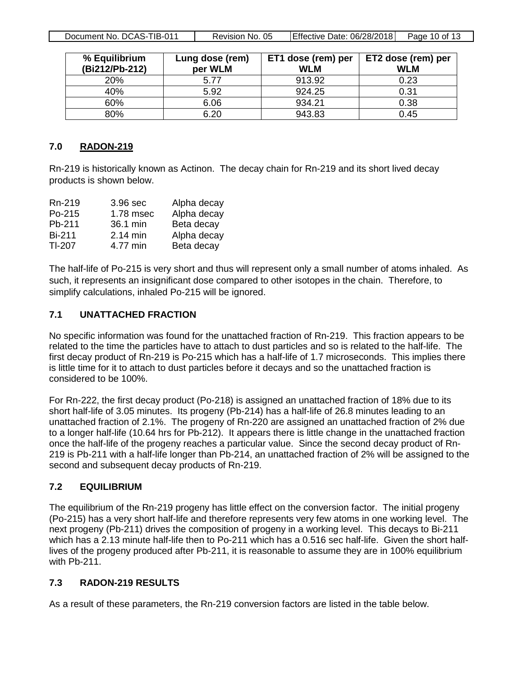Document No. DCAS-TIB-011 | Revision No. 05 | Effective Date: 06/28/2018 | Page 10 of 13

| % Equilibrium<br>(Bi212/Pb-212) | Lung dose (rem)<br>per WLM | ET1 dose (rem) per<br><b>WLM</b> | ET2 dose (rem) per<br><b>WLM</b> |
|---------------------------------|----------------------------|----------------------------------|----------------------------------|
| 20%                             | 5.77                       | 913.92                           | 0.23                             |
| 40%                             | 5.92                       | 924.25                           | 0.31                             |
| 60%                             | 6.06                       | 934.21                           | 0.38                             |
| 80%                             | 6.20                       | 943.83                           | 0.45                             |

#### <span id="page-9-0"></span>**7.0 RADON-219**

Rn-219 is historically known as Actinon. The decay chain for Rn-219 and its short lived decay products is shown below.

| Rn-219        | 3.96 sec   | Alpha decay |
|---------------|------------|-------------|
| Po-215        | 1.78 msec  | Alpha decay |
| Pb-211        | 36.1 min   | Beta decay  |
| <b>Bi-211</b> | $2.14$ min | Alpha decay |
| TI-207        | 4.77 min   | Beta decay  |

The half-life of Po-215 is very short and thus will represent only a small number of atoms inhaled. As such, it represents an insignificant dose compared to other isotopes in the chain. Therefore, to simplify calculations, inhaled Po-215 will be ignored.

#### <span id="page-9-1"></span>**7.1 UNATTACHED FRACTION**

No specific information was found for the unattached fraction of Rn-219. This fraction appears to be related to the time the particles have to attach to dust particles and so is related to the half-life. The first decay product of Rn-219 is Po-215 which has a half-life of 1.7 microseconds. This implies there is little time for it to attach to dust particles before it decays and so the unattached fraction is considered to be 100%.

For Rn-222, the first decay product (Po-218) is assigned an unattached fraction of 18% due to its short half-life of 3.05 minutes. Its progeny (Pb-214) has a half-life of 26.8 minutes leading to an unattached fraction of 2.1%. The progeny of Rn-220 are assigned an unattached fraction of 2% due to a longer half-life (10.64 hrs for Pb-212). It appears there is little change in the unattached fraction once the half-life of the progeny reaches a particular value. Since the second decay product of Rn-219 is Pb-211 with a half-life longer than Pb-214, an unattached fraction of 2% will be assigned to the second and subsequent decay products of Rn-219.

#### <span id="page-9-2"></span>**7.2 EQUILIBRIUM**

The equilibrium of the Rn-219 progeny has little effect on the conversion factor. The initial progeny (Po-215) has a very short half-life and therefore represents very few atoms in one working level. The next progeny (Pb-211) drives the composition of progeny in a working level. This decays to Bi-211 which has a 2.13 minute half-life then to Po-211 which has a 0.516 sec half-life. Given the short halflives of the progeny produced after Pb-211, it is reasonable to assume they are in 100% equilibrium with Pb-211.

#### <span id="page-9-3"></span>**7.3 RADON-219 RESULTS**

As a result of these parameters, the Rn-219 conversion factors are listed in the table below.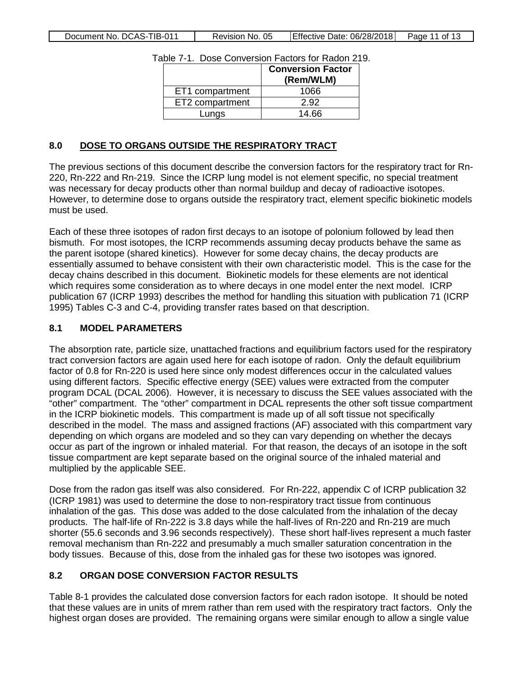|  | Document No. DCAS-TIB-011 | Revision No. 05 | Effective Date: 06/28/2018 | Page 11 of 13 |
|--|---------------------------|-----------------|----------------------------|---------------|
|--|---------------------------|-----------------|----------------------------|---------------|

| ,,,,<br><b>0000 UUITUUDIUI LUURIU IUI RUUUILE</b> |                                       |  |  |
|---------------------------------------------------|---------------------------------------|--|--|
|                                                   | <b>Conversion Factor</b><br>(Rem/WLM) |  |  |
| ET1 compartment                                   | 1066                                  |  |  |
| ET2 compartment                                   | 2.92                                  |  |  |
| Lungs                                             | 14.66                                 |  |  |
|                                                   |                                       |  |  |

Table 7-1. Dose Conversion Factors for Radon 219.

#### <span id="page-10-0"></span>**8.0 DOSE TO ORGANS OUTSIDE THE RESPIRATORY TRACT**

The previous sections of this document describe the conversion factors for the respiratory tract for Rn-220, Rn-222 and Rn-219. Since the ICRP lung model is not element specific, no special treatment was necessary for decay products other than normal buildup and decay of radioactive isotopes. However, to determine dose to organs outside the respiratory tract, element specific biokinetic models must be used.

Each of these three isotopes of radon first decays to an isotope of polonium followed by lead then bismuth. For most isotopes, the ICRP recommends assuming decay products behave the same as the parent isotope (shared kinetics). However for some decay chains, the decay products are essentially assumed to behave consistent with their own characteristic model. This is the case for the decay chains described in this document. Biokinetic models for these elements are not identical which requires some consideration as to where decays in one model enter the next model. ICRP publication 67 (ICRP 1993) describes the method for handling this situation with publication 71 (ICRP 1995) Tables C-3 and C-4, providing transfer rates based on that description.

#### <span id="page-10-1"></span>**8.1 MODEL PARAMETERS**

The absorption rate, particle size, unattached fractions and equilibrium factors used for the respiratory tract conversion factors are again used here for each isotope of radon. Only the default equilibrium factor of 0.8 for Rn-220 is used here since only modest differences occur in the calculated values using different factors. Specific effective energy (SEE) values were extracted from the computer program DCAL (DCAL 2006). However, it is necessary to discuss the SEE values associated with the "other" compartment. The "other" compartment in DCAL represents the other soft tissue compartment in the ICRP biokinetic models. This compartment is made up of all soft tissue not specifically described in the model. The mass and assigned fractions (AF) associated with this compartment vary depending on which organs are modeled and so they can vary depending on whether the decays occur as part of the ingrown or inhaled material. For that reason, the decays of an isotope in the soft tissue compartment are kept separate based on the original source of the inhaled material and multiplied by the applicable SEE.

Dose from the radon gas itself was also considered. For Rn-222, appendix C of ICRP publication 32 (ICRP 1981) was used to determine the dose to non-respiratory tract tissue from continuous inhalation of the gas. This dose was added to the dose calculated from the inhalation of the decay products. The half-life of Rn-222 is 3.8 days while the half-lives of Rn-220 and Rn-219 are much shorter (55.6 seconds and 3.96 seconds respectively). These short half-lives represent a much faster removal mechanism than Rn-222 and presumably a much smaller saturation concentration in the body tissues. Because of this, dose from the inhaled gas for these two isotopes was ignored.

## <span id="page-10-2"></span>**8.2 ORGAN DOSE CONVERSION FACTOR RESULTS**

Table 8-1 provides the calculated dose conversion factors for each radon isotope. It should be noted that these values are in units of mrem rather than rem used with the respiratory tract factors. Only the highest organ doses are provided. The remaining organs were similar enough to allow a single value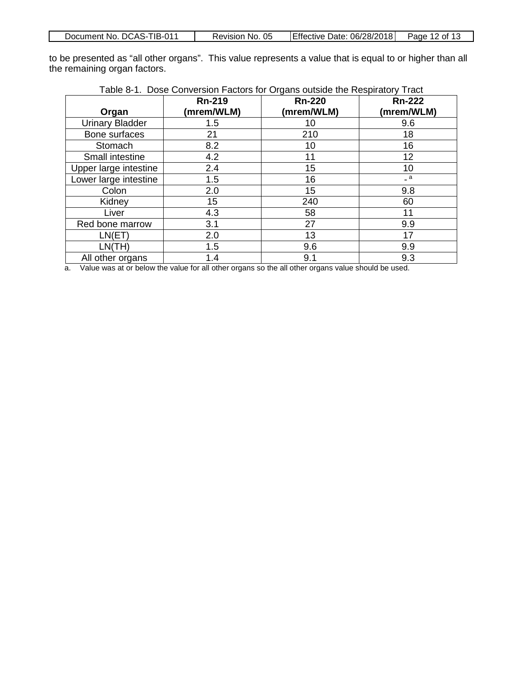| Document No. DCAS-TIB-011 | Revision No. 05 | Effective Date: 06/28/2018 | Page 12 of 13 |
|---------------------------|-----------------|----------------------------|---------------|
|                           |                 |                            |               |

to be presented as "all other organs". This value represents a value that is equal to or higher than all the remaining organ factors.

|                        | <b>Rn-219</b><br>(mrem/WLM) | <b>Rn-220</b><br>(mrem/WLM) | <b>Rn-222</b><br>(mrem/WLM) |
|------------------------|-----------------------------|-----------------------------|-----------------------------|
| Organ                  |                             |                             |                             |
| <b>Urinary Bladder</b> | 1.5                         | 10                          | 9.6                         |
| Bone surfaces          | 21                          | 210                         | 18                          |
| Stomach                | 8.2                         | 10                          | 16                          |
| Small intestine        | 4.2                         | 11                          | 12                          |
| Upper large intestine  | 2.4                         | 15                          | 10                          |
| Lower large intestine  | 1.5                         | 16                          | $=$ a                       |
| Colon                  | 2.0                         | 15                          | 9.8                         |
| Kidney                 | 15                          | 240                         | 60                          |
| Liver                  | 4.3                         | 58                          | 11                          |
| Red bone marrow        | 3.1                         | 27                          | 9.9                         |
| LN(ET)                 | 2.0                         | 13                          | 17                          |
| LN(TH)                 | 1.5                         | 9.6                         | 9.9                         |
| All other organs       | 1.4                         | 9.1                         | 9.3                         |

| Table 8-1. Dose Conversion Factors for Organs outside the Respiratory Tract |  |
|-----------------------------------------------------------------------------|--|
|                                                                             |  |

a. Value was at or below the value for all other organs so the all other organs value should be used.